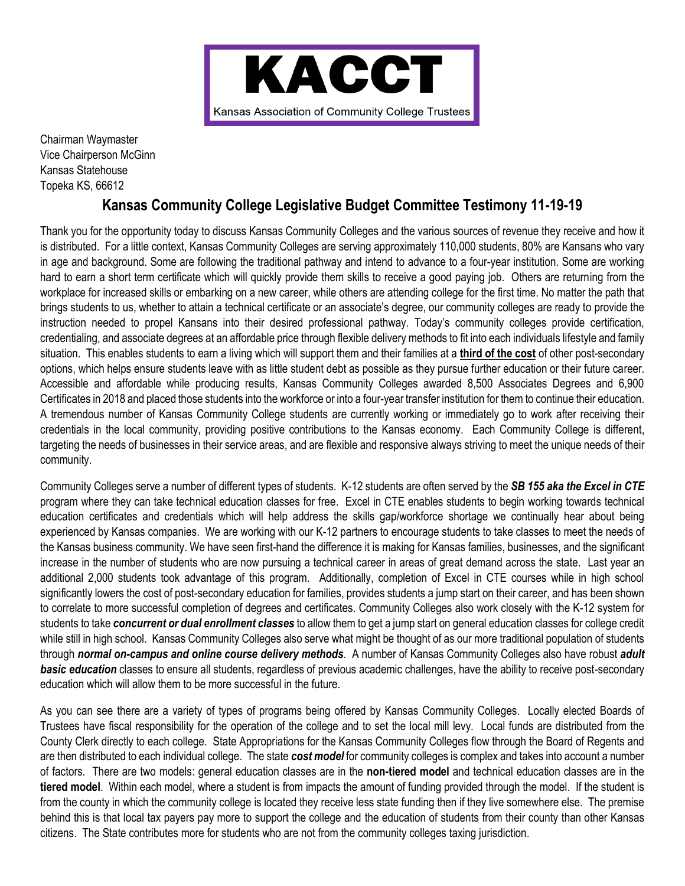

Chairman Waymaster Vice Chairperson McGinn Kansas Statehouse Topeka KS, 66612

## **Kansas Community College Legislative Budget Committee Testimony 11-19-19**

Thank you for the opportunity today to discuss Kansas Community Colleges and the various sources of revenue they receive and how it is distributed. For a little context, Kansas Community Colleges are serving approximately 110,000 students, 80% are Kansans who vary in age and background. Some are following the traditional pathway and intend to advance to a four-year institution. Some are working hard to earn a short term certificate which will quickly provide them skills to receive a good paying job. Others are returning from the workplace for increased skills or embarking on a new career, while others are attending college for the first time. No matter the path that brings students to us, whether to attain a technical certificate or an associate's degree, our community colleges are ready to provide the instruction needed to propel Kansans into their desired professional pathway. Today's community colleges provide certification, credentialing, and associate degrees at an affordable price through flexible delivery methods to fit into each individuals lifestyle and family situation. This enables students to earn a living which will support them and their families at a **third of the cost** of other post-secondary options, which helps ensure students leave with as little student debt as possible as they pursue further education or their future career. Accessible and affordable while producing results, Kansas Community Colleges awarded 8,500 Associates Degrees and 6,900 Certificates in 2018 and placed those students into the workforce or into a four-year transfer institution for them to continue their education. A tremendous number of Kansas Community College students are currently working or immediately go to work after receiving their credentials in the local community, providing positive contributions to the Kansas economy. Each Community College is different, targeting the needs of businesses in their service areas, and are flexible and responsive always striving to meet the unique needs of their community.

Community Colleges serve a number of different types of students. K-12 students are often served by the *SB 155 aka the Excel in CTE* program where they can take technical education classes for free. Excel in CTE enables students to begin working towards technical education certificates and credentials which will help address the skills gap/workforce shortage we continually hear about being experienced by Kansas companies. We are working with our K-12 partners to encourage students to take classes to meet the needs of the Kansas business community. We have seen first-hand the difference it is making for Kansas families, businesses, and the significant increase in the number of students who are now pursuing a technical career in areas of great demand across the state. Last year an additional 2,000 students took advantage of this program. Additionally, completion of Excel in CTE courses while in high school significantly lowers the cost of post-secondary education for families, provides students a jump start on their career, and has been shown to correlate to more successful completion of degrees and certificates. Community Colleges also work closely with the K-12 system for students to take *concurrent or dual enrollment classes* to allow them to get a jump start on general education classes for college credit while still in high school. Kansas Community Colleges also serve what might be thought of as our more traditional population of students through *normal on-campus and online course delivery methods*. A number of Kansas Community Colleges also have robust *adult basic education* classes to ensure all students, regardless of previous academic challenges, have the ability to receive post-secondary education which will allow them to be more successful in the future.

As you can see there are a variety of types of programs being offered by Kansas Community Colleges. Locally elected Boards of Trustees have fiscal responsibility for the operation of the college and to set the local mill levy. Local funds are distributed from the County Clerk directly to each college. State Appropriations for the Kansas Community Colleges flow through the Board of Regents and are then distributed to each individual college. The state *cost model* for community colleges is complex and takes into account a number of factors. There are two models: general education classes are in the **non-tiered model** and technical education classes are in the **tiered model**. Within each model, where a student is from impacts the amount of funding provided through the model. If the student is from the county in which the community college is located they receive less state funding then if they live somewhere else. The premise behind this is that local tax payers pay more to support the college and the education of students from their county than other Kansas citizens. The State contributes more for students who are not from the community colleges taxing jurisdiction.